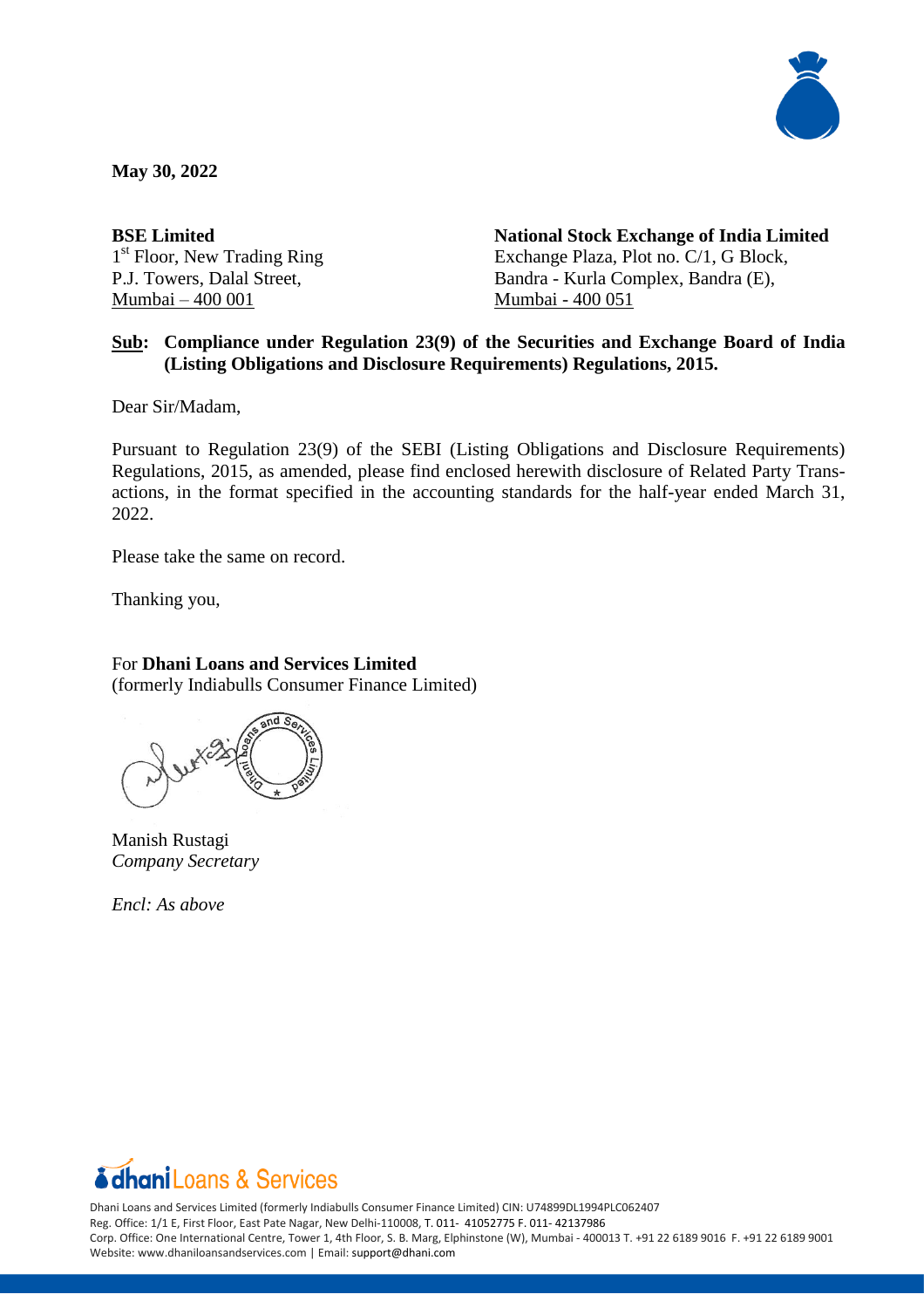

**May 30, 2022**

**BSE Limited**  1<sup>st</sup> Floor, New Trading Ring P.J. Towers, Dalal Street, Mumbai – 400 001

**National Stock Exchange of India Limited** Exchange Plaza, Plot no. C/1, G Block, Bandra - Kurla Complex, Bandra (E), Mumbai - 400 051

## **Sub: Compliance under Regulation 23(9) of the Securities and Exchange Board of India (Listing Obligations and Disclosure Requirements) Regulations, 2015.**

Dear Sir/Madam,

Pursuant to Regulation 23(9) of the SEBI (Listing Obligations and Disclosure Requirements) Regulations, 2015, as amended, please find enclosed herewith disclosure of Related Party Transactions, in the format specified in the accounting standards for the half-year ended March 31, 2022.

Please take the same on record.

Thanking you,

## For **Dhani Loans and Services Limited**

(formerly Indiabulls Consumer Finance Limited)

Manish Rustagi *Company Secretary*

*Encl: As above*



Dhani Loans and Services Limited (formerly Indiabulls Consumer Finance Limited) CIN: U74899DL1994PLC062407 Reg. Office: 1/1 E, First Floor, East Pate Nagar, New Delhi-110008, T. 011- 41052775 F. 011- 42137986 Corp. Office: One International Centre, Tower 1, 4th Floor, S. B. Marg, Elphinstone (W), Mumbai - 400013 T. +91 22 6189 9016 F. +91 22 6189 9001 Website: www.dhaniloansandservices.com | Email: [support@dhani.com](mailto:support@dhani.com)